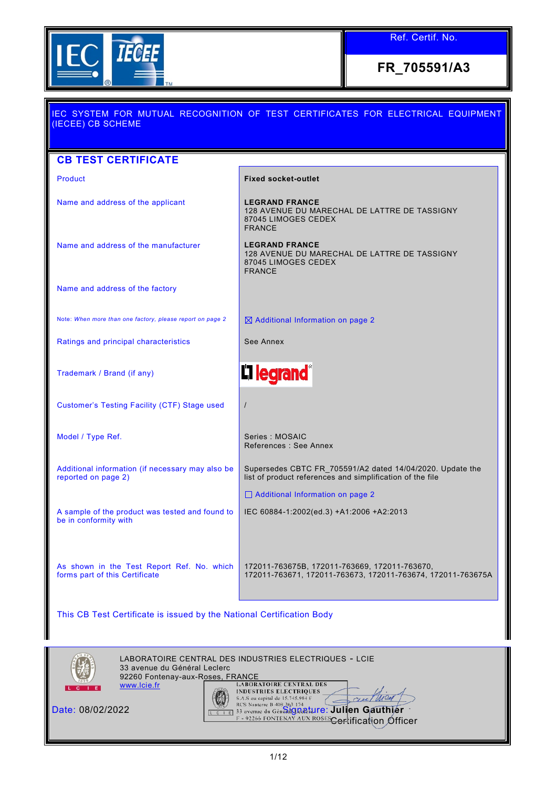

**FR\_705591/A3**

| IEC SYSTEM FOR MUTUAL RECOGNITION OF TEST CERTIFICATES FOR ELECTRICAL EQUIPMENT<br>(IECEE) CB SCHEME                                                                                                                                     |                                                                                                                        |  |  |
|------------------------------------------------------------------------------------------------------------------------------------------------------------------------------------------------------------------------------------------|------------------------------------------------------------------------------------------------------------------------|--|--|
| <b>CB TEST CERTIFICATE</b>                                                                                                                                                                                                               |                                                                                                                        |  |  |
| <b>Product</b>                                                                                                                                                                                                                           | <b>Fixed socket-outlet</b>                                                                                             |  |  |
| Name and address of the applicant                                                                                                                                                                                                        | <b>LEGRAND FRANCE</b><br>128 AVENUE DU MARECHAL DE LATTRE DE TASSIGNY<br>87045 LIMOGES CEDEX<br><b>FRANCE</b>          |  |  |
| Name and address of the manufacturer                                                                                                                                                                                                     | <b>LEGRAND FRANCE</b><br>128 AVENUE DU MARECHAL DE LATTRE DE TASSIGNY<br>87045 LIMOGES CEDEX<br><b>FRANCE</b>          |  |  |
| Name and address of the factory                                                                                                                                                                                                          |                                                                                                                        |  |  |
| Note: When more than one factory, please report on page 2                                                                                                                                                                                | $\boxtimes$ Additional Information on page 2                                                                           |  |  |
| Ratings and principal characteristics                                                                                                                                                                                                    | See Annex                                                                                                              |  |  |
| Trademark / Brand (if any)                                                                                                                                                                                                               | <b>In legrand</b> ®                                                                                                    |  |  |
| <b>Customer's Testing Facility (CTF) Stage used</b>                                                                                                                                                                                      | $\prime$                                                                                                               |  |  |
| Model / Type Ref.                                                                                                                                                                                                                        | Series: MOSAIC<br>References: See Annex                                                                                |  |  |
| Additional information (if necessary may also be<br>reported on page 2)                                                                                                                                                                  | Supersedes CBTC FR_705591/A2 dated 14/04/2020. Update the<br>list of product references and simplification of the file |  |  |
|                                                                                                                                                                                                                                          | □ Additional Information on page 2                                                                                     |  |  |
| A sample of the product was tested and found to<br>be in conformity with                                                                                                                                                                 | IEC 60884-1:2002(ed.3) +A1:2006 +A2:2013                                                                               |  |  |
| As shown in the Test Report Ref. No. which<br>forms part of this Certificate                                                                                                                                                             | 172011-763675B, 172011-763669, 172011-763670,<br>172011-763671, 172011-763673, 172011-763674, 172011-763675A           |  |  |
| This CB Test Certificate is issued by the National Certification Body                                                                                                                                                                    |                                                                                                                        |  |  |
| LABORATOIRE CENTRAL DES INDUSTRIES ELECTRIQUES - LCIE<br>33 avenue du Général Leclerc<br>92260 Fontenay-aux-Roses, FRANCE                                                                                                                |                                                                                                                        |  |  |
| <b>LABORATOIRE CENTRAL DES</b><br>www.lcie.fr<br>c <sub>1</sub><br><b>INDUSTRIES ELECTRIQUES</b><br>S.A.S au capital de 15.745.984 €<br>RCS Nanterre B 408 363 174<br>33 avenue du Généralg Parture: Julien Gauthjer<br>Date: 08/02/2022 |                                                                                                                        |  |  |

<del>Cer</del>tification *O*fficer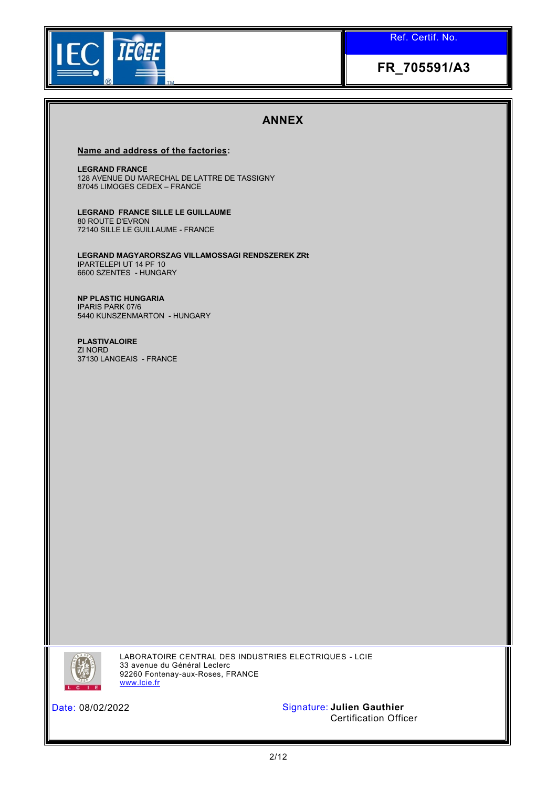

## **FR\_705591/A3**

### **ANNEX**

#### **Name and address of the factories:**

**LEGRAND FRANCE** 128 AVENUE DU MARECHAL DE LATTRE DE TASSIGNY 87045 LIMOGES CEDEX – FRANCE

**LEGRAND FRANCE SILLE LE GUILLAUME**  80 ROUTE D'EVRON 72140 SILLE LE GUILLAUME - FRANCE

**LEGRAND MAGYARORSZAG VILLAMOSSAGI RENDSZEREK ZRt** IPARTELEPI UT 14 PF 10 6600 SZENTES - HUNGARY

**NP PLASTIC HUNGARIA** IPARIS PARK 07/6 5440 KUNSZENMARTON - HUNGARY

**PLASTIVALOIRE** ZI NORD 37130 LANGEAIS - FRANCE



LABORATOIRE CENTRAL DES INDUSTRIES ELECTRIQUES - LCIE 33 avenue du Général Leclerc 92260 Fontenay-aux-Roses, FRANCE [www.lcie.fr](http://www.lcie.fr/)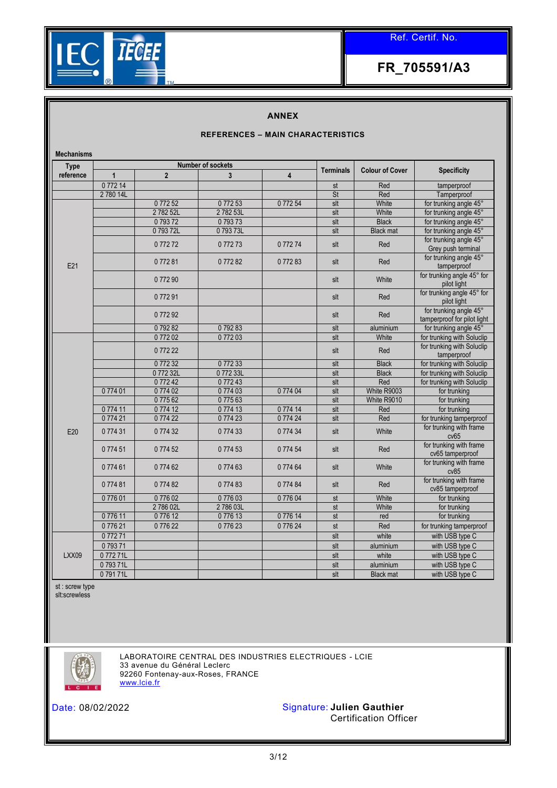

### **ANNEX**

#### **REFERENCES – MAIN CHARACTERISTICS**

| <b>Mechanisms</b> |                          |                |                |          |                  |                        |                                                       |
|-------------------|--------------------------|----------------|----------------|----------|------------------|------------------------|-------------------------------------------------------|
| <b>Type</b>       | <b>Number of sockets</b> |                |                |          |                  |                        |                                                       |
| reference         | $\mathbf 1$              | $\overline{2}$ | $\overline{3}$ | 4        | <b>Terminals</b> | <b>Colour of Cover</b> | <b>Specificity</b>                                    |
|                   | 077214                   |                |                |          | st               | Red                    | tamperproof                                           |
|                   | 278014L                  |                |                |          | St               | Red                    | Tamperproof                                           |
|                   |                          | 077252         | 077253         | 077254   | slt              | White                  | for trunking angle 45°                                |
|                   |                          | 278252L        | 278253L        |          | slt              | White                  | for trunking angle 45°                                |
|                   |                          | 079372         | 079373         |          | slt              | <b>Black</b>           | for trunking angle 45°                                |
|                   |                          | 079372L        | 079373L        |          | slt              | <b>Black mat</b>       | for trunking angle 45°                                |
|                   |                          | 077272         | 077273         | 077274   | slt              | Red                    | for trunking angle 45°<br>Grey push terminal          |
| E21               |                          | 077281         | 077282         | 077283   | slt              | Red                    | for trunking angle 45°<br>tamperproof                 |
|                   |                          | 077290         |                |          | slt              | White                  | for trunking angle 45° for<br>pilot light             |
|                   |                          | 077291         |                |          | slt              | Red                    | for trunking angle 45° for<br>pilot light             |
|                   |                          | 077292         |                |          | slt              | Red                    | for trunking angle 45°<br>tamperproof for pilot light |
|                   |                          | 079282         | 079283         |          | slt              | aluminium              | for trunking angle 45°                                |
|                   |                          | 077202         | 077203         |          | $s$ It           | White                  | for trunking with Soluclip                            |
|                   |                          | 077222         |                |          | slt              | Red                    | for trunking with Soluclip<br>tamperproof             |
|                   |                          | 077232         | 077233         |          | slt              | <b>Black</b>           | for trunking with Soluclip                            |
|                   |                          | 077232L        | 077233L        |          | slt              | <b>Black</b>           | for trunking with Soluclip                            |
|                   |                          | 077242         | 077243         |          | slt              | Red                    | for trunking with Soluclip                            |
|                   | 077401                   | 077402         | 077403         | 0 774 04 | slt              | White R9003            | for trunking                                          |
|                   |                          | 077562         | 077563         |          | slt              | White R9010            | for trunking                                          |
|                   | 077411                   | 077412         | 077413         | 077414   | slt              | Red                    | for trunking                                          |
|                   | 077421                   | 077422         | 077423         | 077424   | slt              | Red                    | for trunking tamperproof                              |
| E20               | 077431                   | 077432         | 077433         | 0 774 34 | slt              | White                  | for trunking with frame<br>cv65                       |
|                   | 077451                   | 077452         | 077453         | 0 774 54 | slt              | Red                    | for trunking with frame<br>cv65 tamperproof           |
|                   | 077461                   | 077462         | 077463         | 077464   | slt              | White                  | for trunking with frame<br>cv85                       |
|                   | 077481                   | 077482         | 077483         | 077484   | slt              | Red                    | for trunking with frame<br>cv85 tamperproof           |
|                   | 077601                   | 077602         | 0 776 03       | 0 776 04 | st               | White                  | for trunking                                          |
|                   |                          | 278602L        | 278603L        |          | st               | White                  | for trunking                                          |
|                   | 077611                   | 077612         | 077613         | 077614   | st               | red                    | for trunking                                          |
|                   | 077621                   | 077622         | 077623         | 077624   | st               | Red                    | for trunking tamperproof                              |
|                   | 077271                   |                |                |          | slt              | white                  | with USB type C                                       |
|                   | 079371                   |                |                |          | slt              | aluminium              | with USB type C                                       |
| LXX09             | 077271L                  |                |                |          | slt              | white                  | with USB type C                                       |
|                   | 079371L                  |                |                |          | slt              | aluminium              | with USB type C                                       |
|                   | 079171L                  |                |                |          | slt              | <b>Black mat</b>       | with USB type C                                       |

st : screw type slt:screwless



LABORATOIRE CENTRAL DES INDUSTRIES ELECTRIQUES - LCIE 33 avenue du Général Leclerc 92260 Fontenay-aux-Roses, FRANCE [www.lcie.fr](http://www.lcie.fr/)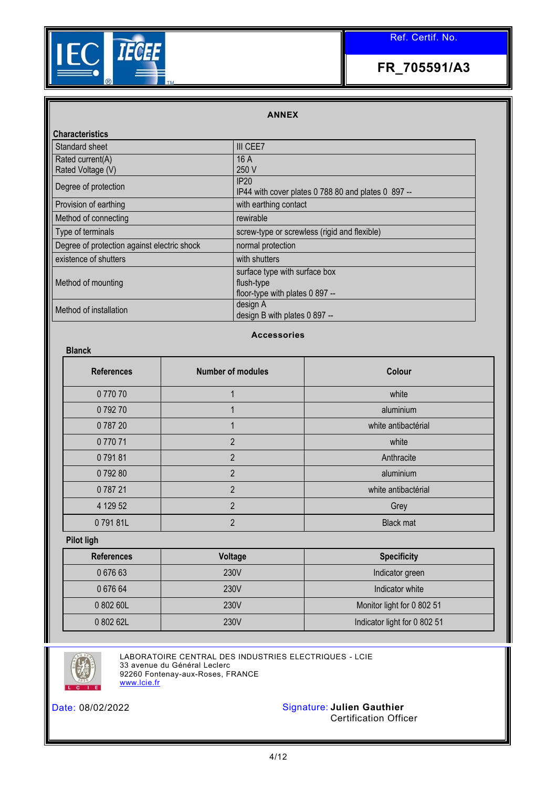

### **ANNEX**

| <b>Characteristics</b>                      |                                                     |
|---------------------------------------------|-----------------------------------------------------|
| Standard sheet                              | III CEE7                                            |
| Rated current(A)                            | 16A                                                 |
| Rated Voltage (V)                           | 250 V                                               |
| Degree of protection                        | IP20                                                |
|                                             | IP44 with cover plates 0 788 80 and plates 0 897 -- |
| Provision of earthing                       | with earthing contact                               |
| Method of connecting                        | rewirable                                           |
| Type of terminals                           | screw-type or screwless (rigid and flexible)        |
| Degree of protection against electric shock | normal protection                                   |
| existence of shutters                       | with shutters                                       |
|                                             | surface type with surface box                       |
| Method of mounting                          | flush-type                                          |
|                                             | floor-type with plates 0 897 --                     |
| Method of installation                      | design A                                            |
|                                             | design B with plates 0 897 --                       |

### **Accessories**

| <b>Blanck</b>     |                          |                     |  |  |  |
|-------------------|--------------------------|---------------------|--|--|--|
| <b>References</b> | <b>Number of modules</b> | Colour              |  |  |  |
| 077070            |                          | white               |  |  |  |
| 079270            |                          | aluminium           |  |  |  |
| 078720            |                          | white antibactérial |  |  |  |
| 077071            | $\overline{2}$           | white               |  |  |  |
| 079181            | $\overline{2}$           | Anthracite          |  |  |  |
| 079280            | $\mathfrak{p}$           | aluminium           |  |  |  |
| 078721            | $\overline{2}$           | white antibactérial |  |  |  |
| 4 129 52          | $\overline{2}$           | Grey                |  |  |  |
| 079181L           | $\mathfrak{p}$           | <b>Black mat</b>    |  |  |  |

**Pilot ligh**

| <b>References</b> | Voltage | <b>Specificity</b>           |  |
|-------------------|---------|------------------------------|--|
| 067663            | 230V    | Indicator green              |  |
| 0 676 64          | 230V    | Indicator white              |  |
| 0 802 60L         | 230V    | Monitor light for 0 802 51   |  |
| 0 802 62L         | 230V    | Indicator light for 0 802 51 |  |



LABORATOIRE CENTRAL DES INDUSTRIES ELECTRIQUES - LCIE 33 avenue du Général Leclerc 92260 Fontenay-aux-Roses, FRANCE [www.lcie.fr](http://www.lcie.fr/)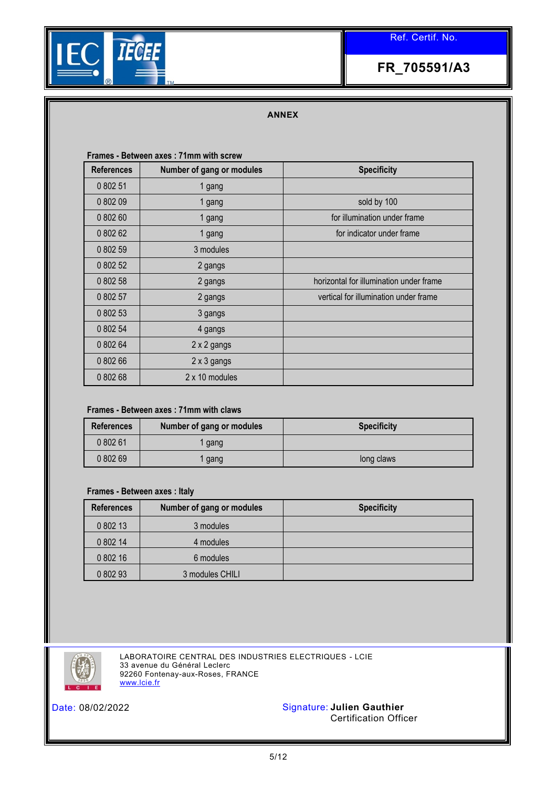

## **FR\_705591/A3**

### **ANNEX**

#### **Frames - Between axes : 71mm with screw**

| <b>References</b> | Number of gang or modules | <b>Specificity</b>                      |
|-------------------|---------------------------|-----------------------------------------|
| 0 802 51          | 1 gang                    |                                         |
| 0 802 09          | 1 gang                    | sold by 100                             |
| 0 802 60          | 1 gang                    | for illumination under frame            |
| 0 802 62          | 1 gang                    | for indicator under frame               |
| 0 802 59          | 3 modules                 |                                         |
| 0 802 52          | 2 gangs                   |                                         |
| 0 802 58          | 2 gangs                   | horizontal for illumination under frame |
| 0 802 57          | 2 gangs                   | vertical for illumination under frame   |
| 0 802 53          | 3 gangs                   |                                         |
| 0 802 54          | 4 gangs                   |                                         |
| 0 802 64          | 2 x 2 gangs               |                                         |
| 0 802 66          | $2 \times 3$ gangs        |                                         |
| 0 802 68          | 2 x 10 modules            |                                         |

### **Frames - Between axes : 71mm with claws**

| <b>References</b> | Number of gang or modules | <b>Specificity</b> |
|-------------------|---------------------------|--------------------|
| 080261            | gang                      |                    |
| 0 802 69          | gang                      | long claws         |

#### **Frames - Between axes : Italy**

| <b>References</b> | Number of gang or modules | <b>Specificity</b> |
|-------------------|---------------------------|--------------------|
| 0 802 13          | 3 modules                 |                    |
| 0 802 14          | 4 modules                 |                    |
| 0 802 16          | 6 modules                 |                    |
| 0 802 93          | 3 modules CHILI           |                    |



LABORATOIRE CENTRAL DES INDUSTRIES ELECTRIQUES - LCIE 33 avenue du Général Leclerc 92260 Fontenay-aux-Roses, FRANCE [www.lcie.fr](http://www.lcie.fr/)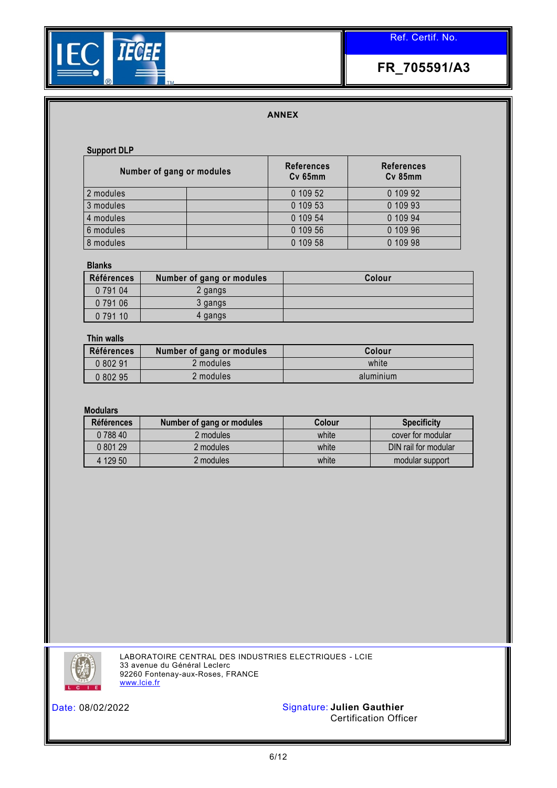



### **ANNEX**

#### **Support DLP**

| Number of gang or modules |  | <b>References</b><br>Cv 65mm | <b>References</b><br>Cv 85mm |
|---------------------------|--|------------------------------|------------------------------|
| 2 modules                 |  | 0 109 52                     | 0 109 92                     |
| 3 modules                 |  | 0 109 53                     | 0 109 93                     |
| 4 modules                 |  | 0 109 54                     | 0 109 94                     |
| 6 modules                 |  | 0 109 56                     | 0 109 96                     |
| 8 modules                 |  | 0 109 58                     | 0 109 98                     |

#### **Blanks**

| <b>Références</b> | Number of gang or modules | Colour |
|-------------------|---------------------------|--------|
| 0 791 04          | 2 gangs                   |        |
| 0 791 06          | 3 gangs                   |        |
| 0 791 10          | 4 gangs                   |        |

#### **Thin walls**

| <b>Références</b> | Number of gang or modules | Colour    |
|-------------------|---------------------------|-----------|
| 0 802 91          | 2 modules                 | white     |
| 0 802 95          | 2 modules                 | aluminium |

#### **Modulars**

| <b>Références</b> | Number of gang or modules | Colour | <b>Specificity</b>   |
|-------------------|---------------------------|--------|----------------------|
| 0 788 40          | 2 modules                 | white  | cover for modular    |
| 0 801 29          | 2 modules                 | white  | DIN rail for modular |
| 4 129 50          | 2 modules                 | white  | modular support      |



LABORATOIRE CENTRAL DES INDUSTRIES ELECTRIQUES - LCIE 33 avenue du Général Leclerc 92260 Fontenay-aux-Roses, FRANCE [www.lcie.fr](http://www.lcie.fr/)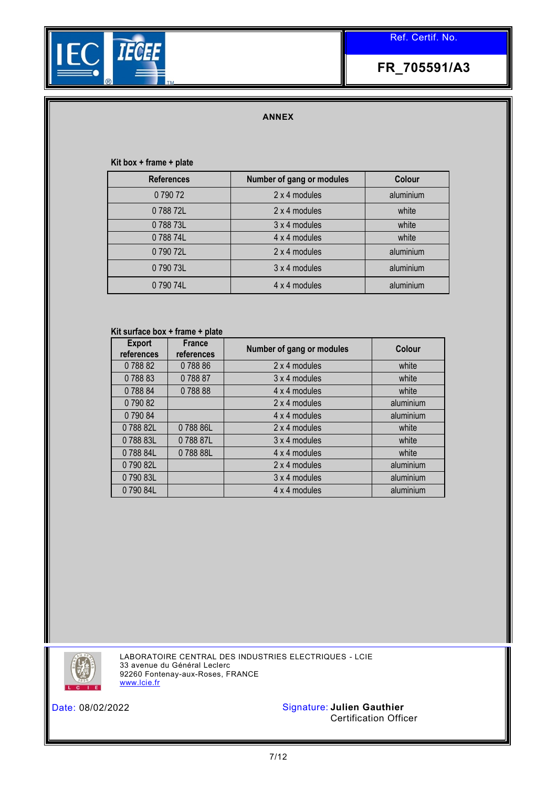

#### **ANNEX**

#### **Kit box + frame + plate**

| <b>References</b> | Number of gang or modules | Colour    |
|-------------------|---------------------------|-----------|
| 079072            | 2 x 4 modules             | aluminium |
| 078872L           | 2 x 4 modules             | white     |
| 078873L           | 3 x 4 modules             | white     |
| 078874L           | 4 x 4 modules             | white     |
| 079072L           | 2 x 4 modules             | aluminium |
| 079073L           | 3 x 4 modules             | aluminium |
| 079074L           | 4 x 4 modules             | aluminium |

#### **Kit surface box + frame + plate**

| <b>Export</b><br>references | <b>France</b><br>references | Number of gang or modules | Colour    |
|-----------------------------|-----------------------------|---------------------------|-----------|
| 078882                      | 078886                      | 2 x 4 modules             | white     |
| 078883                      | 078887                      | 3 x 4 modules             | white     |
| 078884                      | 078888                      | 4 x 4 modules             | white     |
| 079082                      |                             | 2 x 4 modules             | aluminium |
| 079084                      |                             | 4 x 4 modules             | aluminium |
| 078882L                     | 078886L                     | 2 x 4 modules             | white     |
| 078883L                     | 078887L                     | 3 x 4 modules             | white     |
| 078884L                     | 078888L                     | 4 x 4 modules             | white     |
| 079082L                     |                             | 2 x 4 modules             | aluminium |
| 079083L                     |                             | 3 x 4 modules             | aluminium |
| 079084L                     |                             | 4 x 4 modules             | aluminium |



LABORATOIRE CENTRAL DES INDUSTRIES ELECTRIQUES - LCIE 33 avenue du Général Leclerc 92260 Fontenay-aux-Roses, FRANCE [www.lcie.fr](http://www.lcie.fr/)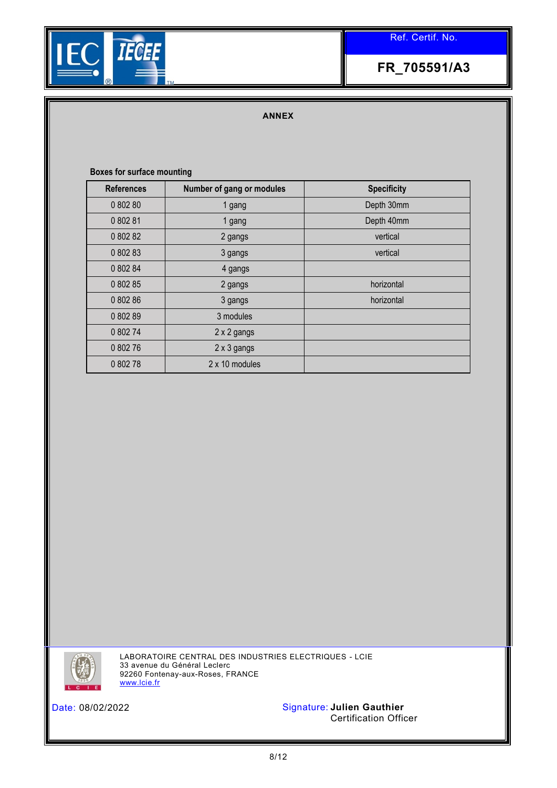

# **FR\_705591/A3**

### **ANNEX**

### **Boxes for surface mounting**

| <b>References</b> | Number of gang or modules | <b>Specificity</b> |
|-------------------|---------------------------|--------------------|
| 0 802 80          | 1 gang                    | Depth 30mm         |
| 0 802 81          | 1 gang                    | Depth 40mm         |
| 0 802 82          | 2 gangs                   | vertical           |
| 0 802 83          | 3 gangs                   | vertical           |
| 0 802 84          | 4 gangs                   |                    |
| 0 802 85          | 2 gangs                   | horizontal         |
| 0 802 86          | 3 gangs                   | horizontal         |
| 0 802 89          | 3 modules                 |                    |
| 0 802 74          | 2 x 2 gangs               |                    |
| 0 802 76          | 2 x 3 gangs               |                    |
| 0 802 78          | 2 x 10 modules            |                    |



LABORATOIRE CENTRAL DES INDUSTRIES ELECTRIQUES - LCIE 33 avenue du Général Leclerc 92260 Fontenay-aux-Roses, FRANCE [www.lcie.fr](http://www.lcie.fr/)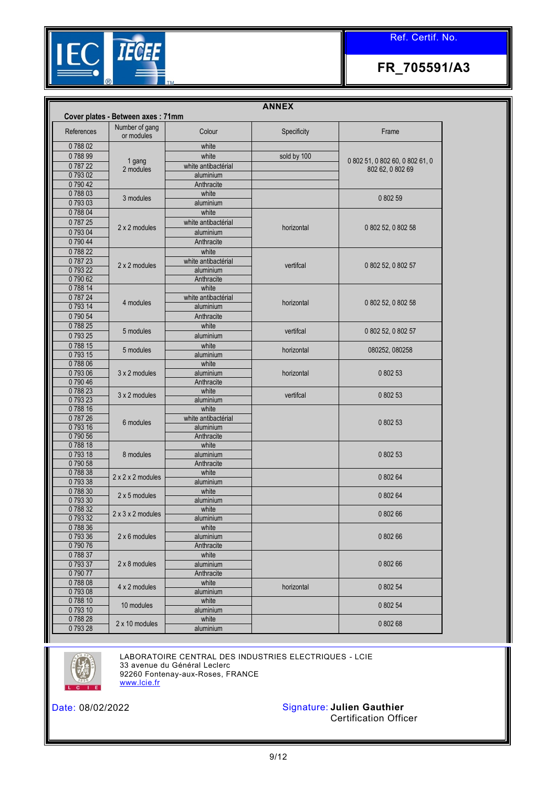

**FR\_705591/A3**

|                  |                                   |                                  | <b>ANNEX</b> |                                 |  |
|------------------|-----------------------------------|----------------------------------|--------------|---------------------------------|--|
|                  | Cover plates - Between axes: 71mm |                                  |              |                                 |  |
| References       | Number of gang<br>or modules      | Colour                           | Specificity  | Frame                           |  |
| 078802           |                                   | white                            |              |                                 |  |
| 078899           | 1 gang                            | white                            | sold by 100  | 0 802 51, 0 802 60, 0 802 61, 0 |  |
| 078722           | 2 modules                         | white antibactérial              |              | 802 62, 0 802 69                |  |
| 079302           |                                   | aluminium                        |              |                                 |  |
| 079042           |                                   | Anthracite                       |              |                                 |  |
| 078803           | 3 modules                         | white                            |              | 080259                          |  |
| 079303           |                                   | aluminium                        |              |                                 |  |
| 078804           |                                   | white                            |              |                                 |  |
| 078725           | 2 x 2 modules                     | white antibactérial              |              | 0 802 52, 0 802 58              |  |
| 079304           |                                   | aluminium                        | horizontal   |                                 |  |
| 079044           |                                   | Anthracite                       |              |                                 |  |
| 078822           |                                   | white                            |              |                                 |  |
| 078723           | 2 x 2 modules                     | white antibactérial              | vertifcal    | 0 802 52, 0 802 57              |  |
| 079322           |                                   | aluminium                        |              |                                 |  |
| 079062           |                                   | Anthracite                       |              |                                 |  |
| 078814           |                                   | white                            |              |                                 |  |
| 078724           | 4 modules                         | white antibactérial              | horizontal   | 0 802 52, 0 802 58              |  |
| 079314           |                                   | aluminium                        |              |                                 |  |
| 079054           |                                   | Anthracite                       |              |                                 |  |
| 078825           | 5 modules                         | white                            | vertifcal    | 0 802 52, 0 802 57              |  |
| 079325           |                                   | aluminium                        |              |                                 |  |
| 078815           | 5 modules                         | white                            | horizontal   | 080252, 080258                  |  |
| 079315           |                                   | aluminium                        |              |                                 |  |
| 078806           |                                   | white                            |              |                                 |  |
| 079306           | 3 x 2 modules                     | aluminium                        | horizontal   | 0 802 53                        |  |
| 079046           |                                   | Anthracite                       |              |                                 |  |
| 078823           | 3 x 2 modules                     | white                            | vertifcal    | 0 802 53                        |  |
| 079323           |                                   | aluminium                        |              |                                 |  |
| 078816<br>078726 |                                   | white                            |              |                                 |  |
| 079316           | 6 modules                         | white antibactérial<br>aluminium |              | 0 802 53                        |  |
| 079056           |                                   | Anthracite                       |              |                                 |  |
| 078818           |                                   | white                            |              |                                 |  |
| 079318           | 8 modules                         | aluminium                        |              | 0 802 53                        |  |
| 079058           |                                   | Anthracite                       |              |                                 |  |
| 078838           |                                   | white                            |              |                                 |  |
| 079338           | $2 \times 2 \times 2$ modules     | aluminium                        |              | 0 802 64                        |  |
| 078830           |                                   | white                            |              |                                 |  |
| 079330           | $2 \times 5$ modules              | aluminium                        |              | 0 802 64                        |  |
| 078832           | $2 \times 3 \times 2$ modules     | white                            |              |                                 |  |
| 079332           |                                   | aluminium                        |              | 0 802 66                        |  |
| 078836           |                                   | white                            |              |                                 |  |
| 079336           | $2 \times 6$ modules              | aluminium                        |              | 080266                          |  |
| 079076           |                                   | Anthracite                       |              |                                 |  |
| 078837           |                                   | white                            |              |                                 |  |
| 079337           | 2 x 8 modules                     | aluminium                        |              | 0 802 66                        |  |
| 079077           |                                   | Anthracite                       |              |                                 |  |
| 078808           | 4 x 2 modules                     | white                            | horizontal   | 0 802 54                        |  |
| 079308           |                                   | aluminium                        |              |                                 |  |
| 078810           | 10 modules                        | white                            |              | 0 802 54                        |  |
| 079310           |                                   | aluminium                        |              |                                 |  |
| 078828           | 2 x 10 modules                    | white                            |              | 080268                          |  |
| 079328           |                                   | aluminium                        |              |                                 |  |



LABORATOIRE CENTRAL DES INDUSTRIES ELECTRIQUES - LCIE 33 avenue du Général Leclerc 92260 Fontenay-aux-Roses, FRANCE [www.lcie.fr](http://www.lcie.fr/)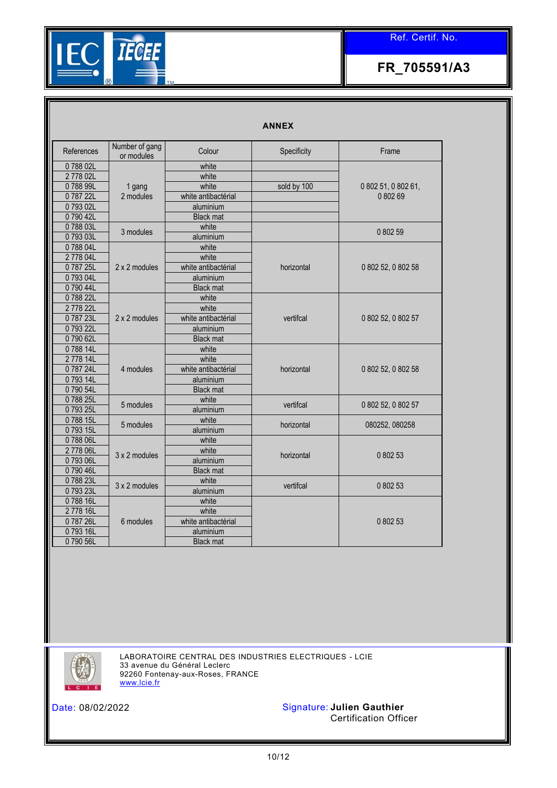

# **FR\_705591/A3**

#### **ANNEX**

| References | Number of gang<br>or modules | Colour              | Specificity | Frame               |  |
|------------|------------------------------|---------------------|-------------|---------------------|--|
| 078802L    |                              | white               |             |                     |  |
| 2778 02L   |                              | white               |             |                     |  |
| 078899L    | 1 gang                       | white               | sold by 100 | 0 802 51, 0 802 61, |  |
| 078722L    | 2 modules                    | white antibactérial |             | 080269              |  |
| 079302L    |                              | aluminium           |             |                     |  |
| 079042L    |                              | <b>Black mat</b>    |             |                     |  |
| 078803L    |                              | white               |             |                     |  |
| 079303L    | 3 modules                    | aluminium           |             | 0 802 59            |  |
| 078804L    |                              | white               |             |                     |  |
| 277804L    |                              | white               |             |                     |  |
| 078725L    | 2 x 2 modules                | white antibactérial | horizontal  | 0 802 52, 0 802 58  |  |
| 079304L    |                              | aluminium           |             |                     |  |
| 079044L    |                              | <b>Black mat</b>    |             |                     |  |
| 078822L    |                              | white               |             |                     |  |
| 2778 22L   |                              | white               |             |                     |  |
| 078723L    | 2 x 2 modules                | white antibactérial | vertifcal   | 0 802 52, 0 802 57  |  |
| 079322L    |                              | aluminium           |             |                     |  |
| 079062L    |                              | <b>Black mat</b>    |             |                     |  |
| 078814L    |                              | white               |             |                     |  |
| 2778 14L   |                              | white               |             |                     |  |
| 078724L    | 4 modules                    | white antibactérial | horizontal  | 0 802 52, 0 802 58  |  |
| 079314L    |                              | aluminium           |             |                     |  |
| 079054L    |                              | <b>Black mat</b>    |             |                     |  |
| 078825L    | 5 modules                    | white               | vertifcal   | 0 802 52, 0 802 57  |  |
| 079325L    |                              | aluminium           |             |                     |  |
| 078815L    | 5 modules                    | white               | horizontal  | 080252, 080258      |  |
| 079315L    |                              | aluminium           |             |                     |  |
| 078806L    |                              | white               |             |                     |  |
| 2778 06L   | 3 x 2 modules                | white               | horizontal  | 0 802 53            |  |
| 079306L    |                              | aluminium           |             |                     |  |
| 079046L    |                              | <b>Black mat</b>    |             |                     |  |
| 078823L    | 3 x 2 modules                | white               | vertifcal   | 0 802 53            |  |
| 079323L    |                              | aluminium           |             |                     |  |
| 078816L    |                              | white               |             |                     |  |
| 2778 16L   |                              | white               |             |                     |  |
| 078726L    | 6 modules                    | white antibactérial |             | 0 802 53            |  |
| 079316L    |                              | aluminium           |             |                     |  |
| 079056L    |                              | <b>Black mat</b>    |             |                     |  |



LABORATOIRE CENTRAL DES INDUSTRIES ELECTRIQUES - LCIE 33 avenue du Général Leclerc 92260 Fontenay-aux-Roses, FRANCE [www.lcie.fr](http://www.lcie.fr/)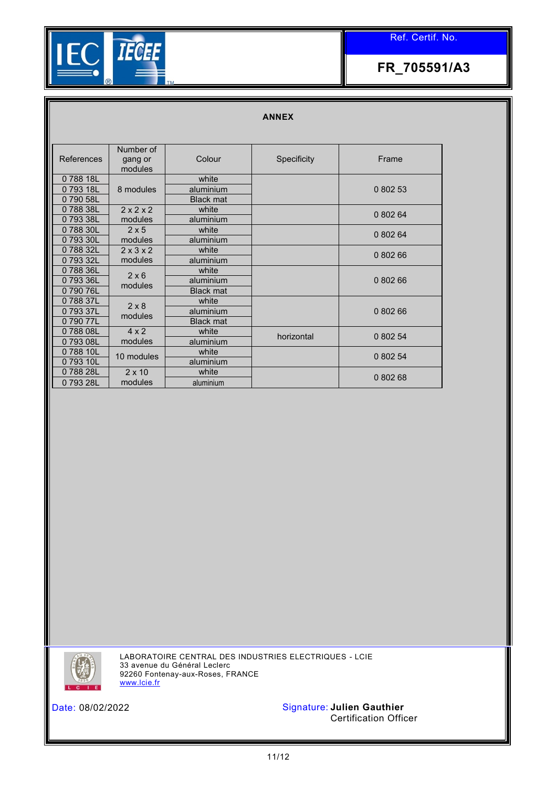

#### **ANNEX**

| References | Number of<br>gang or<br>modules | Colour           | Specificity | Frame    |
|------------|---------------------------------|------------------|-------------|----------|
| 078818L    |                                 | white            |             |          |
| 079318L    | 8 modules                       | aluminium        |             | 0 802 53 |
| 079058L    |                                 | <b>Black mat</b> |             |          |
| 078838L    | 2x2x2                           | white            |             | 0 802 64 |
| 079338L    | modules                         | aluminium        |             |          |
| 078830L    | 2x5                             | white            |             | 0 802 64 |
| 079330L    | modules                         | aluminium        |             |          |
| 078832L    | $2 \times 3 \times 2$           | white            |             | 0 802 66 |
| 079332L    | modules                         | aluminium        |             |          |
| 078836L    | $2 \times 6$                    | white            |             |          |
| 079336L    | modules                         | aluminium        |             | 080266   |
| 079076L    |                                 | <b>Black mat</b> |             |          |
| 078837L    | $2 \times 8$                    | white            |             |          |
| 079337L    | modules                         | aluminium        |             | 0 802 66 |
| 079077L    |                                 | <b>Black mat</b> |             |          |
| 078808L    | $4 \times 2$                    | white            | horizontal  | 0 802 54 |
| 079308L    | modules                         | aluminium        |             |          |
| 078810L    | 10 modules                      | white            |             | 0 802 54 |
| 0 793 10L  |                                 | aluminium        |             |          |
| 078828L    | $2 \times 10$                   | white            |             | 0 802 68 |
| 079328L    | modules                         | aluminium        |             |          |



LABORATOIRE CENTRAL DES INDUSTRIES ELECTRIQUES - LCIE 33 avenue du Général Leclerc 92260 Fontenay-aux-Roses, FRANCE [www.lcie.fr](http://www.lcie.fr/)